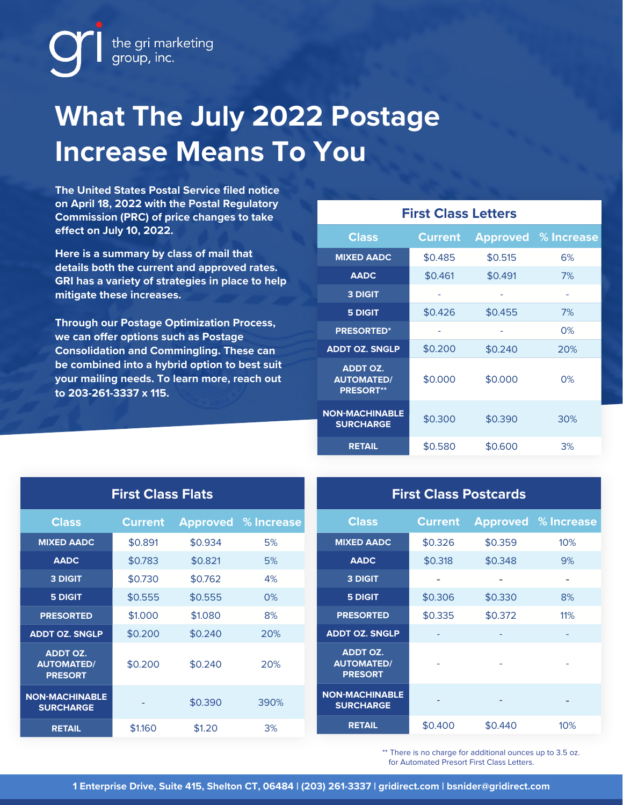

## **What The July 2022 Postage Increase Means To You**

**The United States Postal Service filed notice on April 18, 2022 with the Postal Regulatory Commission (PRC) of price changes to take effect on July 10, 2022.**

**Here is a summary by class of mail that details both the current and approved rates. GRI has a variety of strategies in place to help mitigate these increases.**

**Through our Postage Optimization Process, we can offer options such as Postage Consolidation and Commingling. These can be combined into a hybrid option to best suit your mailing needs. To learn more, reach out to 203-261-3337 x 115.**

| <b>First Class Letters</b>                               |                |         |                            |  |  |  |  |  |
|----------------------------------------------------------|----------------|---------|----------------------------|--|--|--|--|--|
| <b>Class</b>                                             | <b>Current</b> |         | <b>Approved</b> % Increase |  |  |  |  |  |
| <b>MIXED AADC</b>                                        | \$0.485        | \$0.515 | 6%                         |  |  |  |  |  |
| <b>AADC</b>                                              | \$0.461        | \$0.491 | 7%                         |  |  |  |  |  |
| <b>3 DIGIT</b>                                           |                |         |                            |  |  |  |  |  |
| <b>5 DIGIT</b>                                           | \$0.426        | \$0.455 | 7%                         |  |  |  |  |  |
| <b>PRESORTED*</b>                                        |                |         | 0%                         |  |  |  |  |  |
| <b>ADDT OZ. SNGLP</b>                                    | \$0.200        | \$0.240 | 20%                        |  |  |  |  |  |
| <b>ADDT OZ.</b><br><b>AUTOMATED/</b><br><b>PRESORT**</b> | \$0.000        | \$0.000 | $0\%$                      |  |  |  |  |  |
| <b>NON-MACHINABLE</b><br><b>SURCHARGE</b>                | \$0.300        | \$0.390 | 30%                        |  |  |  |  |  |
| <b>RETAIL</b>                                            | \$0.580        | \$0.600 | 3%                         |  |  |  |  |  |

| <b>First Class Flats</b>                               |                |                 | <b>First Class Postcards</b> |                                                        |                |                 |                          |
|--------------------------------------------------------|----------------|-----------------|------------------------------|--------------------------------------------------------|----------------|-----------------|--------------------------|
| <b>Class</b>                                           | <b>Current</b> | <b>Approved</b> | % Increase                   | <b>Class</b>                                           | <b>Current</b> | <b>Approved</b> | % Increase               |
| <b>MIXED AADC</b>                                      | \$0.891        | \$0.934         | 5%                           | <b>MIXED AADC</b>                                      | \$0.326        | \$0.359         | 10%                      |
| <b>AADC</b>                                            | \$0.783        | \$0.821         | 5%                           | <b>AADC</b>                                            | \$0.318        | \$0.348         | 9%                       |
| <b>3 DIGIT</b>                                         | \$0.730        | \$0.762         | 4%                           | 3 DIGIT                                                | ٠              | ۰               | $\overline{\phantom{a}}$ |
| <b>5 DIGIT</b>                                         | \$0.555        | \$0.555         | 0%                           | <b>5 DIGIT</b>                                         | \$0.306        | \$0.330         | 8%                       |
| <b>PRESORTED</b>                                       | \$1,000        | \$1,080         | 8%                           | <b>PRESORTED</b>                                       | \$0.335        | \$0.372         | 11%                      |
| <b>ADDT OZ. SNGLP</b>                                  | \$0.200        | \$0.240         | 20%                          | <b>ADDT OZ. SNGLP</b>                                  |                |                 |                          |
| <b>ADDT OZ.</b><br><b>AUTOMATED/</b><br><b>PRESORT</b> | \$0.200        | \$0.240         | 20%                          | <b>ADDT OZ.</b><br><b>AUTOMATED/</b><br><b>PRESORT</b> |                |                 | $\bar{a}$                |
| <b>NON-MACHINABLE</b><br><b>SURCHARGE</b>              |                | \$0.390         | 390%                         | <b>NON-MACHINABLE</b><br><b>SURCHARGE</b>              |                |                 | $\overline{\phantom{a}}$ |
| <b>RETAIL</b>                                          | \$1.160        | \$1.20          | 3%                           | <b>RETAIL</b>                                          | \$0.400        | \$0.440         | 10%                      |

\*\* There is no charge for additional ounces up to 3.5 oz. for Automated Presort First Class Letters.